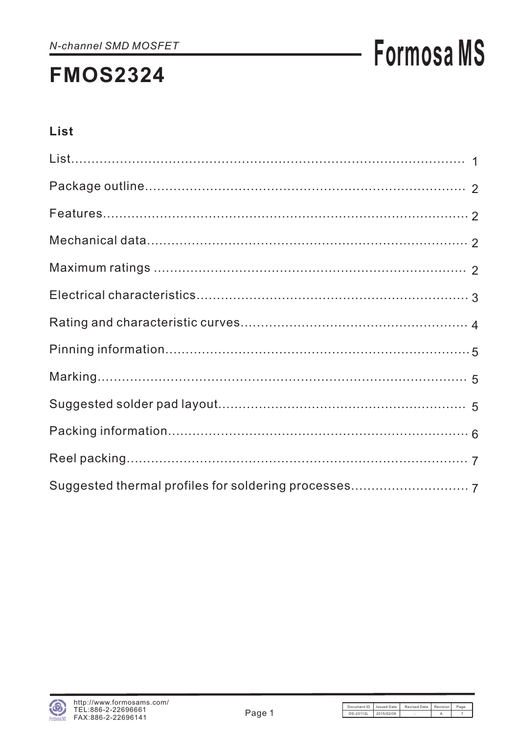# **Formosa MS**

## List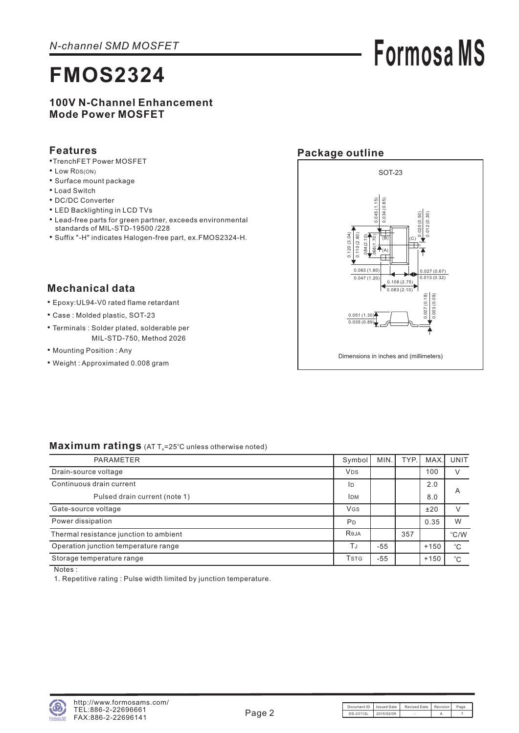# **Formosa MS**

#### **100V N-Channel Enhancement Mode Power MOSFET**

#### **Features**

- TrenchFET Power MOSFET
- Low RDS(ON)
- Surface mount package
- Load Switch
- DC/DC Converter
- LED Backlighting in LCD TVs
- Lead-free parts for green partner, exceeds environmental standards of MIL-STD-19500 /228
- Suffix "-H" indicates Halogen-free part, ex.FMOS2324-H.

#### **Package outline**



#### **Mechanical data**

- Epoxy:UL94-V0 rated flame retardant •
- Case : Molded plastic, SOT-23
- Terminals : Solder plated, solderable per MIL-STD-750, Method 2026
- Mounting Position: Any
- Weight : Approximated 0.008 gram

#### Maximum ratings (AT T<sub>A</sub>=25°C unless otherwise noted)

| <b>PARAMETER</b>                       | Symbol <sup>1</sup>                  | MIN.  | TYP. | <b>MAX</b> | UNIT                    |
|----------------------------------------|--------------------------------------|-------|------|------------|-------------------------|
| Drain-source voltage                   | <b>V<sub>DS</sub></b>                |       |      | 100        | $\vee$                  |
| Continuous drain current               | ID                                   |       |      | 2.0        |                         |
| Pulsed drain current (note 1)          | <b>IDM</b>                           |       |      | 8.0        | $\overline{\mathsf{A}}$ |
| Gate-source voltage                    | <b>VGS</b>                           |       |      | ±20        |                         |
| Power dissipation                      | P <sub>D</sub>                       |       |      | 0.35       | W                       |
| Thermal resistance junction to ambient | Reja                                 |       | 357  |            | °C/W                    |
| Operation junction temperature range   | ΤJ                                   | $-55$ |      | $+150$     | $^{\circ}C$             |
| Storage temperature range              | <b>T</b> <sub>S</sub> T <sub>G</sub> | -55   |      | $+150$     | $^{\circ}C$             |

Notes :

1. Repetitive rating: Pulse width limited by junction temperature.

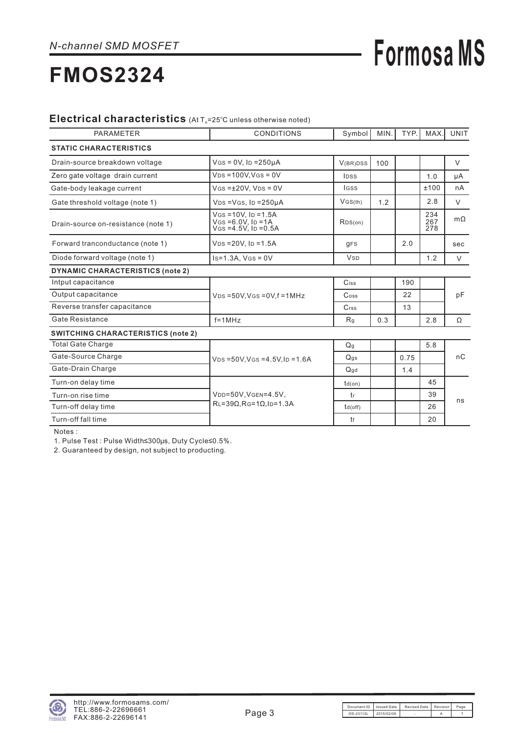# **Formosa MS**

## **FMOS2324**

#### Electrical characteristics (At T<sub>A</sub>=25°C unless otherwise noted)

| <b>PARAMETER</b>                          | <b>CONDITIONS</b>                                                                 | Symbol                | MIN. | TYP. | MAX.              | <b>UNIT</b> |  |  |
|-------------------------------------------|-----------------------------------------------------------------------------------|-----------------------|------|------|-------------------|-------------|--|--|
| <b>STATIC CHARACTERISTICS</b>             |                                                                                   |                       |      |      |                   |             |  |  |
| Drain-source breakdown voltage            | $V$ GS = 0V, ID = 250µA                                                           | V(BR)DSS              | 100  |      |                   | V           |  |  |
| Zero gate voltage drain current           | $VDS = 100V$ . $VGS = 0V$                                                         | <b>IDSS</b>           |      |      | 1.0               | μA          |  |  |
| Gate-body leakage current                 | $V$ GS = $\pm$ 20V. V <sub>DS</sub> = 0V                                          | <b>IGSS</b>           |      |      | ±100              | nA          |  |  |
| Gate threshold voltage (note 1)           | $VDS = VGS$ , $ID = 250\mu A$                                                     | VGS(th)               | 1.2  |      | 2.8               | $\vee$      |  |  |
| Drain-source on-resistance (note 1)       | $V$ GS = 10V, ID = 1.5A<br>$V$ GS = 6.0V, ID = 1A<br>$V$ GS = 4.5 $V$ , ID = 0.5A | RDS(on)               |      |      | 234<br>267<br>278 | $m\Omega$   |  |  |
| Forward tranconductance (note 1)          | $V_{DS} = 20V$ , Ip = 1.5A                                                        | <b>gFS</b>            |      | 2.0  |                   | sec         |  |  |
| Diode forward voltage (note 1)            | $Is=1.3A, VGS = 0V$                                                               | <b>V<sub>SD</sub></b> |      |      | 1.2               | $\vee$      |  |  |
| <b>DYNAMIC CHARACTERISTICS (note 2)</b>   |                                                                                   |                       |      |      |                   |             |  |  |
| Intput capacitance                        |                                                                                   | Ciss                  |      | 190  |                   |             |  |  |
| Output capacitance                        | $VDS = 50V$ , $VGS = 0V$ , $f = 1MHz$                                             | $\mathsf{Coss}$       |      | 22   |                   | pF          |  |  |
| Reverse transfer capacitance              |                                                                                   | $C$ <sub>rss</sub>    |      | 13   |                   |             |  |  |
| <b>Gate Resistance</b>                    | $f = 1$ MHz                                                                       | R <sub>q</sub>        | 0.3  |      | 2.8               | Ω           |  |  |
| <b>SWITCHING CHARACTERISTICS (note 2)</b> |                                                                                   |                       |      |      |                   |             |  |  |
| <b>Total Gate Charge</b>                  |                                                                                   | Q <sub>q</sub>        |      |      | 5.8               |             |  |  |
| Gate-Source Charge                        | $V_{DS} = 50V$ , $V_{GS} = 4.5V$ , $I_D = 1.6A$                                   | Q <sub>gs</sub>       |      | 0.75 |                   | nC          |  |  |
| Gate-Drain Charge                         |                                                                                   | Qqd                   |      | 1.4  |                   |             |  |  |
| Turn-on delay time                        |                                                                                   | $td($ on)             |      |      | 45                |             |  |  |
| Turn-on rise time                         | VDD=50V, VGEN=4.5V,                                                               | tr                    |      |      | 39                | ns          |  |  |
| Turn-off delay time                       | $RL = 39\Omega$ , $RG = 1\Omega$ , $I_D = 1.3A$                                   | $td($ off $)$         |      |      | 26                |             |  |  |
| Turn-off fall time                        |                                                                                   | tf                    |      |      | 20                |             |  |  |

Notes :

1. Pulse Test : Pulse Width≤300μs, Duty Cycle≤0.5%.

2. Guaranteed by design, not subject to producting.

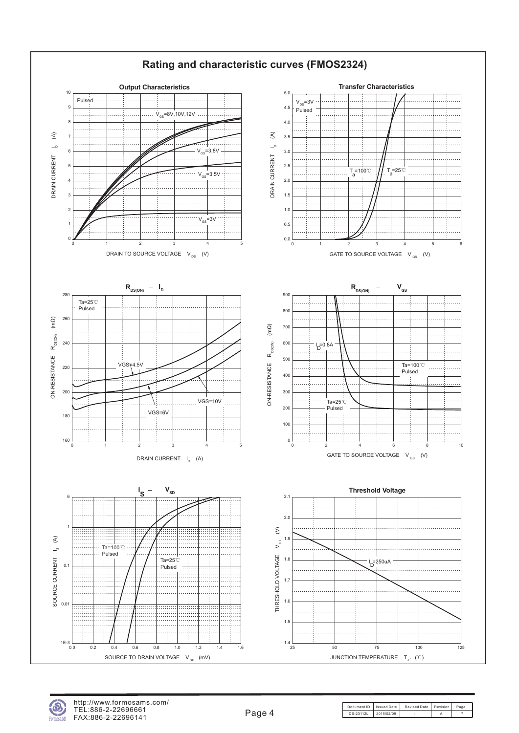

http://www.formosams.com/ TEL:886-2-22696661 FAX:886-2-22696141

Document ID | Issued Date | Revised Date | Revision | Page DS-23112L 2015/02/09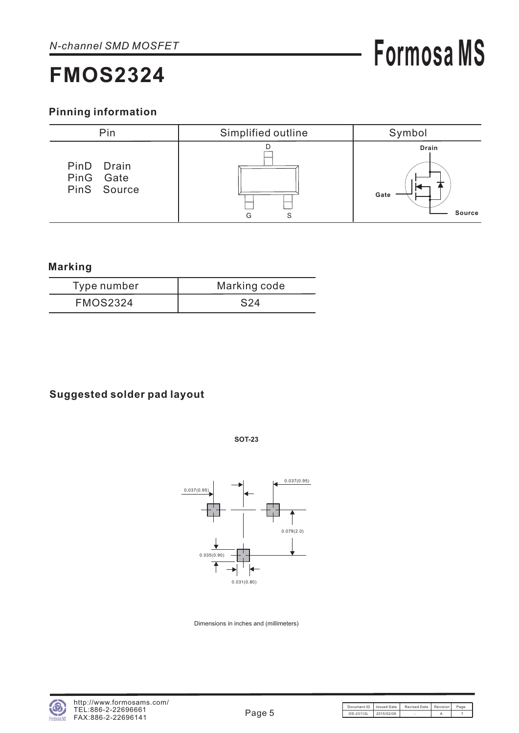### **Pinning information**



#### **Marking**

| Type number     | Marking code |
|-----------------|--------------|
| <b>FMOS2324</b> | S24          |

### **Suggested solder pad layout**

**SOT-23**



Dimensions in inches and (millimeters)

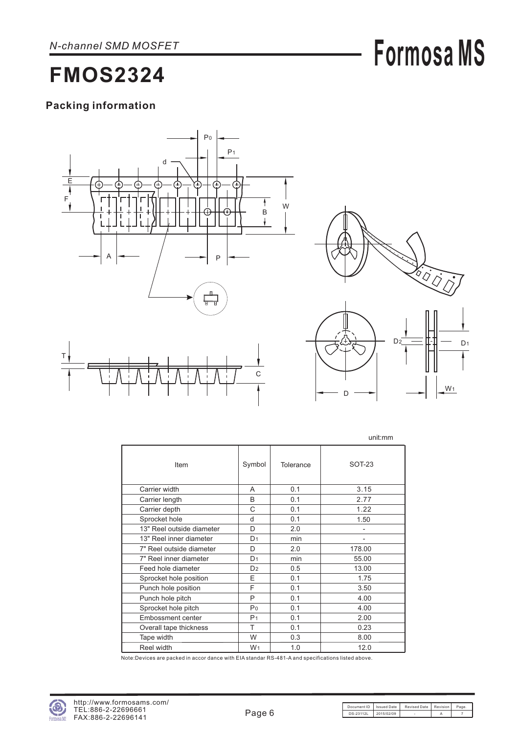# **Formosa MS**

**FMOS2324**

### **Packing information**





D

|                           |                |           | unit:mm       |
|---------------------------|----------------|-----------|---------------|
| Item                      | Symbol         | Tolerance | <b>SOT-23</b> |
| Carrier width             | A              | 0.1       | 3.15          |
| Carrier length            | B              | 0.1       | 2.77          |
| Carrier depth             | C              | 0.1       | 1.22          |
| Sprocket hole             | d              | 0.1       | 1.50          |
| 13" Reel outside diameter | D              | 2.0       |               |
| 13" Reel inner diameter   | D <sub>1</sub> | min       | -             |
| 7" Reel outside diameter  | D              | 2.0       | 178.00        |
| 7" Reel inner diameter    | D <sub>1</sub> | min       | 55.00         |
| Feed hole diameter        | D <sub>2</sub> | 0.5       | 13.00         |
| Sprocket hole position    | E              | 0.1       | 1.75          |
| Punch hole position       | F              | 0.1       | 3.50          |
| Punch hole pitch          | P              | 0.1       | 4.00          |
| Sprocket hole pitch       | P <sub>0</sub> | 0.1       | 4.00          |
| Embossment center         | P <sub>1</sub> | 0.1       | 2.00          |
| Overall tape thickness    | T              | 0.1       | 0.23          |
| Tape width                | W              | 0.3       | 8.00          |
| Reel width                | W <sub>1</sub> | 1.0       | 12.0          |

Note:Devices are packed in accor dance with EIA standar RS-481-A and specifications listed above.